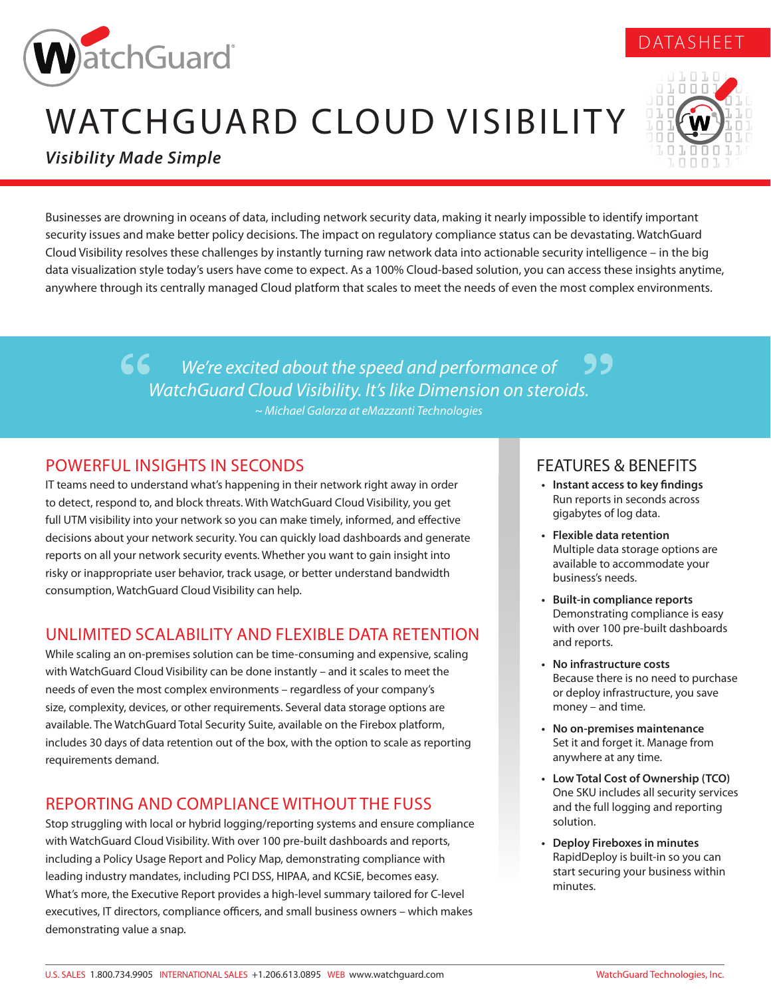

# WATCHGUARD CLOUD VISIBILITY



DATASHEET

*Visibility Made Simple*

Businesses are drowning in oceans of data, including network security data, making it nearly impossible to identify important security issues and make better policy decisions. The impact on regulatory compliance status can be devastating. WatchGuard Cloud Visibility resolves these challenges by instantly turning raw network data into actionable security intelligence – in the big data visualization style today's users have come to expect. As a 100% Cloud-based solution, you can access these insights anytime, anywhere through its centrally managed Cloud platform that scales to meet the needs of even the most complex environments.

> *We're excited about the speed and performance of WatchGuard Cloud Visibility. It's like Dimension on steroids. ~ Michael Galarza at eMazzanti Technologies*

## POWERFUL INSIGHTS IN SECONDS

IT teams need to understand what's happening in their network right away in order to detect, respond to, and block threats. With WatchGuard Cloud Visibility, you get full UTM visibility into your network so you can make timely, informed, and effective decisions about your network security. You can quickly load dashboards and generate reports on all your network security events. Whether you want to gain insight into risky or inappropriate user behavior, track usage, or better understand bandwidth consumption, WatchGuard Cloud Visibility can help.

## UNLIMITED SCALABILITY AND FLEXIBLE DATA RETENTION

While scaling an on-premises solution can be time-consuming and expensive, scaling with WatchGuard Cloud Visibility can be done instantly – and it scales to meet the needs of even the most complex environments – regardless of your company's size, complexity, devices, or other requirements. Several data storage options are available. The WatchGuard Total Security Suite, available on the Firebox platform, includes 30 days of data retention out of the box, with the option to scale as reporting requirements demand.

## REPORTING AND COMPLIANCE WITHOUT THE FUSS

Stop struggling with local or hybrid logging/reporting systems and ensure compliance with WatchGuard Cloud Visibility. With over 100 pre-built dashboards and reports, including a Policy Usage Report and Policy Map, demonstrating compliance with leading industry mandates, including PCI DSS, HIPAA, and KCSiE, becomes easy. What's more, the Executive Report provides a high-level summary tailored for C-level executives, IT directors, compliance officers, and small business owners – which makes demonstrating value a snap.

## FEATURES & BENEFITS

- **• Instant access to key findings** Run reports in seconds across gigabytes of log data.
- **• Flexible data retention** Multiple data storage options are available to accommodate your business's needs.
- **• Built-in compliance reports** Demonstrating compliance is easy with over 100 pre-built dashboards and reports.
- **• No infrastructure costs** Because there is no need to purchase or deploy infrastructure, you save money – and time.
- **• No on-premises maintenance** Set it and forget it. Manage from anywhere at any time.
- **• Low Total Cost of Ownership (TCO)** One SKU includes all security services and the full logging and reporting solution.
- **• Deploy Fireboxes in minutes** RapidDeploy is built-in so you can start securing your business within minutes.